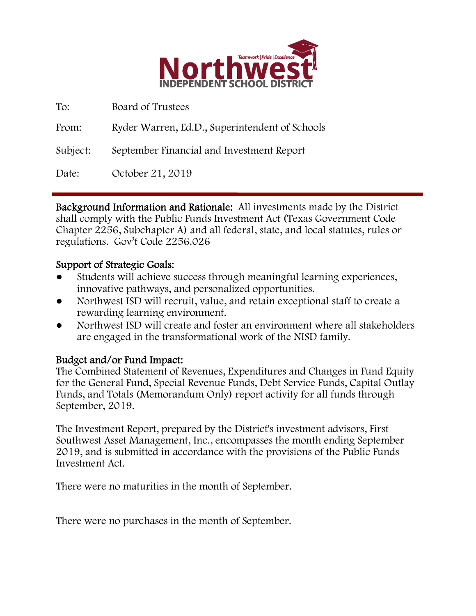

| To:      | Board of Trustees                              |
|----------|------------------------------------------------|
| From:    | Ryder Warren, Ed.D., Superintendent of Schools |
| Subject: | September Financial and Investment Report      |
| Date:    | October 21, 2019                               |

Background Information and Rationale: All investments made by the District shall comply with the Public Funds Investment Act (Texas Government Code Chapter 2256, Subchapter A) and all federal, state, and local statutes, rules or regulations. Gov't Code 2256.026

### Support of Strategic Goals:

- Students will achieve success through meaningful learning experiences, innovative pathways, and personalized opportunities.
- Northwest ISD will recruit, value, and retain exceptional staff to create a rewarding learning environment.
- Northwest ISD will create and foster an environment where all stakeholders are engaged in the transformational work of the NISD family.

## Budget and/or Fund Impact:

The Combined Statement of Revenues, Expenditures and Changes in Fund Equity for the General Fund, Special Revenue Funds, Debt Service Funds, Capital Outlay Funds, and Totals (Memorandum Only) report activity for all funds through September, 2019.

The Investment Report, prepared by the District's investment advisors, First Southwest Asset Management, Inc., encompasses the month ending September 2019, and is submitted in accordance with the provisions of the Public Funds Investment Act.

There were no maturities in the month of September.

There were no purchases in the month of September.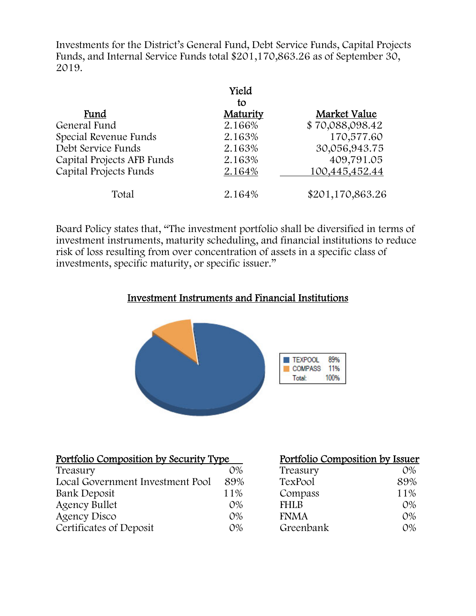Investments for the District's General Fund, Debt Service Funds, Capital Projects Funds, and Internal Service Funds total \$201,170,863.26 as of September 30, 2019.

|                            | Yield    |                  |
|----------------------------|----------|------------------|
|                            | to       |                  |
| Fund                       | Maturity | Market Value     |
| General Fund               | 2.166%   | \$70,088,098.42  |
| Special Revenue Funds      | 2.163%   | 170,577.60       |
| Debt Service Funds         | 2.163%   | 30,056,943.75    |
| Capital Projects AFB Funds | 2.163%   | 409,791.05       |
| Capital Projects Funds     | 2.164%   | 100,445,452.44   |
| Total                      | 2.164%   | \$201,170,863.26 |

Board Policy states that, "The investment portfolio shall be diversified in terms of investment instruments, maturity scheduling, and financial institutions to reduce risk of loss resulting from over concentration of assets in a specific class of investments, specific maturity, or specific issuer."

## Investment Instruments and Financial Institutions



| Portfolio Composition by Security Type |       | Portfolio Composition by Issuer |       |
|----------------------------------------|-------|---------------------------------|-------|
| Treasury                               | $O\%$ | Treasury                        | 0%    |
| Local Government Investment Pool       | 89%   | TexPool                         | 89%   |
| Bank Deposit                           | 11%   | Compass                         | 11%   |
| <b>Agency Bullet</b>                   | $O\%$ | <b>FHLB</b>                     | $O\%$ |
| Agency Disco                           | $O\%$ | <b>FNMA</b>                     | $O\%$ |
| Certificates of Deposit                | $O\%$ | Greenbank                       | 0%    |

#### tfolio Composition by Issuer<sup>t</sup>

| Treasury    | $O\%$      |
|-------------|------------|
| TexPool     | 89%        |
| Compass     | 11%        |
| <b>FHLB</b> | $O\%$      |
| <b>FNMA</b> | $O\%$      |
| Greenbank   | $\Omega\%$ |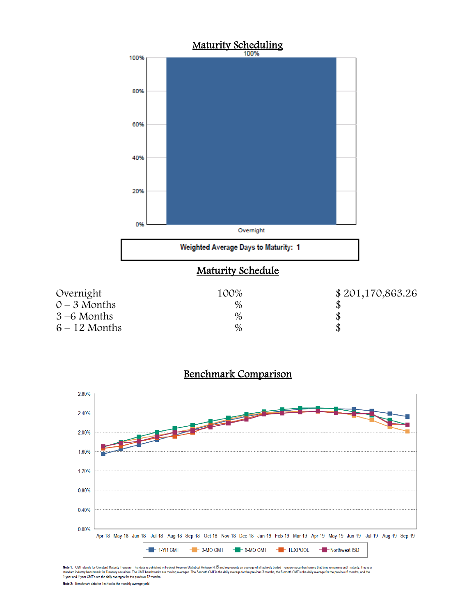





Note 1: CMT stands for Constant Maturity Treasury. This data is published in Federal Reserve Statistical Release H.15 and represents an average of all actively traded Treasury securities having that time remaining until ma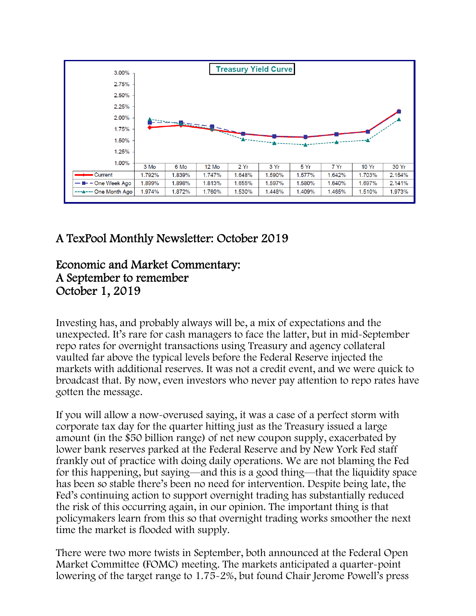

# A TexPool Monthly Newsletter: October 2019

# Economic and Market Commentary: A September to remember October 1, 2019

Investing has, and probably always will be, a mix of expectations and the unexpected. It's rare for cash managers to face the latter, but in mid-September repo rates for overnight transactions using Treasury and agency collateral vaulted far above the typical levels before the Federal Reserve injected the markets with additional reserves. It was not a credit event, and we were quick to broadcast that. By now, even investors who never pay attention to repo rates have gotten the message.

If you will allow a now-overused saying, it was a case of a perfect storm with corporate tax day for the quarter hitting just as the Treasury issued a large amount (in the \$50 billion range) of net new coupon supply, exacerbated by lower bank reserves parked at the Federal Reserve and by New York Fed staff frankly out of practice with doing daily operations. We are not blaming the Fed for this happening, but saying—and this is a good thing—that the liquidity space has been so stable there's been no need for intervention. Despite being late, the Fed's continuing action to support overnight trading has substantially reduced the risk of this occurring again, in our opinion. The important thing is that policymakers learn from this so that overnight trading works smoother the next time the market is flooded with supply.

There were two more twists in September, both announced at the Federal Open Market Committee (FOMC) meeting. The markets anticipated a quarter-point lowering of the target range to 1.75-2%, but found Chair Jerome Powell's press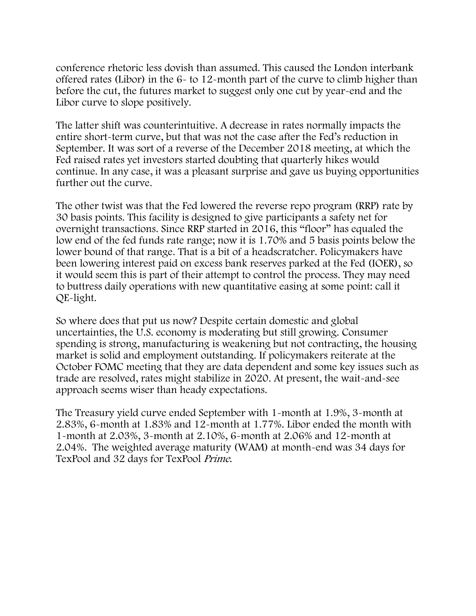conference rhetoric less dovish than assumed. This caused the London interbank offered rates (Libor) in the 6- to 12-month part of the curve to climb higher than before the cut, the futures market to suggest only one cut by year-end and the Libor curve to slope positively.

The latter shift was counterintuitive. A decrease in rates normally impacts the entire short-term curve, but that was not the case after the Fed's reduction in September. It was sort of a reverse of the December 2018 meeting, at which the Fed raised rates yet investors started doubting that quarterly hikes would continue. In any case, it was a pleasant surprise and gave us buying opportunities further out the curve.

The other twist was that the Fed lowered the reverse repo program (RRP) rate by 30 basis points. This facility is designed to give participants a safety net for overnight transactions. Since RRP started in 2016, this "floor" has equaled the low end of the fed funds rate range; now it is 1.70% and 5 basis points below the lower bound of that range. That is a bit of a headscratcher. Policymakers have been lowering interest paid on excess bank reserves parked at the Fed (IOER), so it would seem this is part of their attempt to control the process. They may need to buttress daily operations with new quantitative easing at some point: call it QE-light.

So where does that put us now? Despite certain domestic and global uncertainties, the U.S. economy is moderating but still growing. Consumer spending is strong, manufacturing is weakening but not contracting, the housing market is solid and employment outstanding. If policymakers reiterate at the October FOMC meeting that they are data dependent and some key issues such as trade are resolved, rates might stabilize in 2020. At present, the wait-and-see approach seems wiser than heady expectations.

The Treasury yield curve ended September with 1-month at 1.9%, 3-month at 2.83%, 6-month at 1.83% and 12-month at 1.77%. Libor ended the month with 1-month at 2.03%, 3-month at 2.10%, 6-month at 2.06% and 12-month at 2.04%. The weighted average maturity (WAM) at month-end was 34 days for TexPool and 32 days for TexPool Prime.